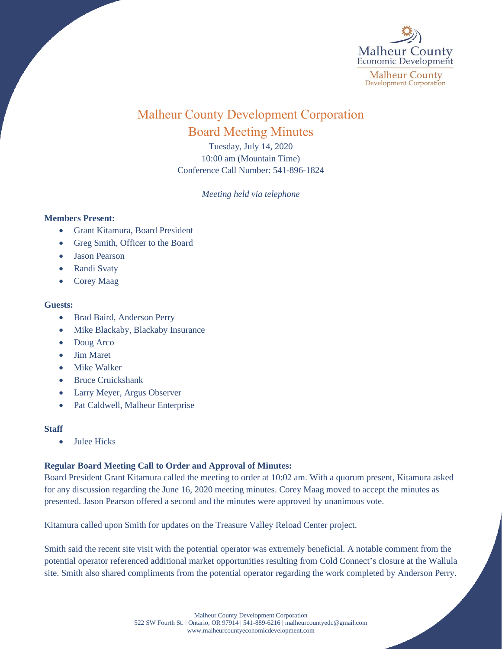

# Malheur County Development Corporation Board Meeting Minutes

Tuesday, July 14, 2020 10:00 am (Mountain Time) Conference Call Number: 541-896-1824

*Meeting held via telephone*

### **Members Present:**

- Grant Kitamura, Board President
- Greg Smith, Officer to the Board
- Jason Pearson
- Randi Svaty
- Corey Maag

## **Guests:**

- Brad Baird, Anderson Perry
- Mike Blackaby, Blackaby Insurance
- Doug Arco
- Jim Maret
- Mike Walker
- Bruce Cruickshank
- Larry Meyer, Argus Observer
- Pat Caldwell, Malheur Enterprise

### **Staff**

• Julee Hicks

## **Regular Board Meeting Call to Order and Approval of Minutes:**

Board President Grant Kitamura called the meeting to order at 10:02 am. With a quorum present, Kitamura asked for any discussion regarding the June 16, 2020 meeting minutes. Corey Maag moved to accept the minutes as presented. Jason Pearson offered a second and the minutes were approved by unanimous vote.

Kitamura called upon Smith for updates on the Treasure Valley Reload Center project.

Smith said the recent site visit with the potential operator was extremely beneficial. A notable comment from the potential operator referenced additional market opportunities resulting from Cold Connect's closure at the Wallula site. Smith also shared compliments from the potential operator regarding the work completed by Anderson Perry.